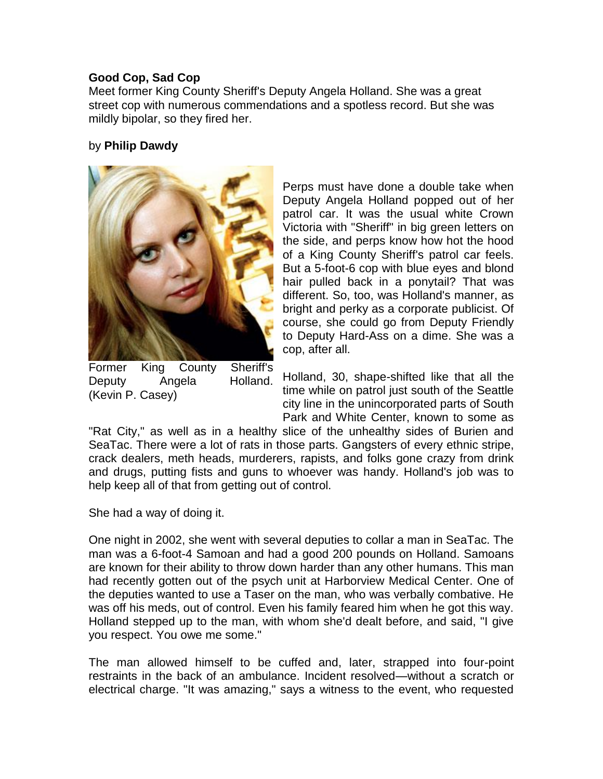## **Good Cop, Sad Cop**

Meet former King County Sheriff's Deputy Angela Holland. She was a great street cop with numerous commendations and a spotless record. But she was mildly bipolar, so they fired her.

## by **Philip Dawdy**



Former King County Sheriff's Deputy Angela Holland. (Kevin P. Casey)

Perps must have done a double take when Deputy Angela Holland popped out of her patrol car. It was the usual white Crown Victoria with "Sheriff" in big green letters on the side, and perps know how hot the hood of a King County Sheriff's patrol car feels. But a 5-foot-6 cop with blue eyes and blond hair pulled back in a ponytail? That was different. So, too, was Holland's manner, as bright and perky as a corporate publicist. Of course, she could go from Deputy Friendly to Deputy Hard-Ass on a dime. She was a cop, after all.

Holland, 30, shape-shifted like that all the time while on patrol just south of the Seattle city line in the unincorporated parts of South Park and White Center, known to some as

"Rat City," as well as in a healthy slice of the unhealthy sides of Burien and SeaTac. There were a lot of rats in those parts. Gangsters of every ethnic stripe, crack dealers, meth heads, murderers, rapists, and folks gone crazy from drink and drugs, putting fists and guns to whoever was handy. Holland's job was to help keep all of that from getting out of control.

She had a way of doing it.

One night in 2002, she went with several deputies to collar a man in SeaTac. The man was a 6-foot-4 Samoan and had a good 200 pounds on Holland. Samoans are known for their ability to throw down harder than any other humans. This man had recently gotten out of the psych unit at Harborview Medical Center. One of the deputies wanted to use a Taser on the man, who was verbally combative. He was off his meds, out of control. Even his family feared him when he got this way. Holland stepped up to the man, with whom she'd dealt before, and said, "I give you respect. You owe me some."

The man allowed himself to be cuffed and, later, strapped into four-point restraints in the back of an ambulance. Incident resolved—without a scratch or electrical charge. "It was amazing," says a witness to the event, who requested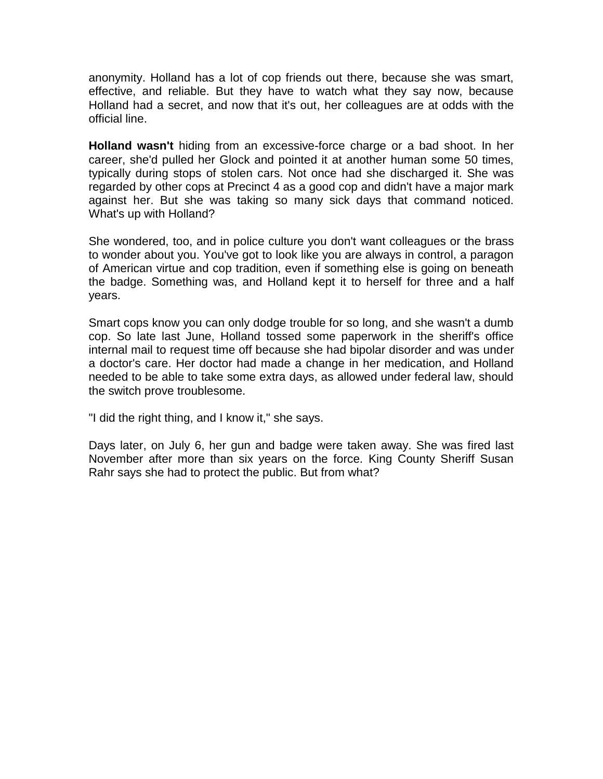anonymity. Holland has a lot of cop friends out there, because she was smart, effective, and reliable. But they have to watch what they say now, because Holland had a secret, and now that it's out, her colleagues are at odds with the official line.

**Holland wasn't** hiding from an excessive-force charge or a bad shoot. In her career, she'd pulled her Glock and pointed it at another human some 50 times, typically during stops of stolen cars. Not once had she discharged it. She was regarded by other cops at Precinct 4 as a good cop and didn't have a major mark against her. But she was taking so many sick days that command noticed. What's up with Holland?

She wondered, too, and in police culture you don't want colleagues or the brass to wonder about you. You've got to look like you are always in control, a paragon of American virtue and cop tradition, even if something else is going on beneath the badge. Something was, and Holland kept it to herself for three and a half years.

Smart cops know you can only dodge trouble for so long, and she wasn't a dumb cop. So late last June, Holland tossed some paperwork in the sheriff's office internal mail to request time off because she had bipolar disorder and was under a doctor's care. Her doctor had made a change in her medication, and Holland needed to be able to take some extra days, as allowed under federal law, should the switch prove troublesome.

"I did the right thing, and I know it," she says.

Days later, on July 6, her gun and badge were taken away. She was fired last November after more than six years on the force. King County Sheriff Susan Rahr says she had to protect the public. But from what?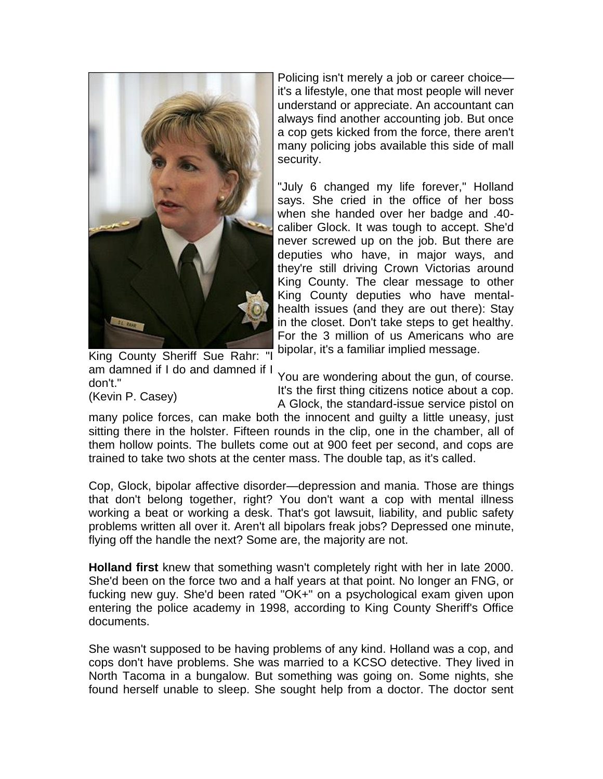

King County Sheriff Sue Rahr: "I am damned if I do and damned if I don't."

Policing isn't merely a job or career choice it's a lifestyle, one that most people will never understand or appreciate. An accountant can always find another accounting job. But once a cop gets kicked from the force, there aren't many policing jobs available this side of mall security.

"July 6 changed my life forever," Holland says. She cried in the office of her boss when she handed over her badge and .40 caliber Glock. It was tough to accept. She'd never screwed up on the job. But there are deputies who have, in major ways, and they're still driving Crown Victorias around King County. The clear message to other King County deputies who have mentalhealth issues (and they are out there): Stay in the closet. Don't take steps to get healthy. For the 3 million of us Americans who are bipolar, it's a familiar implied message.

(Kevin P. Casey)

You are wondering about the gun, of course. It's the first thing citizens notice about a cop. A Glock, the standard-issue service pistol on

many police forces, can make both the innocent and guilty a little uneasy, just sitting there in the holster. Fifteen rounds in the clip, one in the chamber, all of them hollow points. The bullets come out at 900 feet per second, and cops are trained to take two shots at the center mass. The double tap, as it's called.

Cop, Glock, bipolar affective disorder—depression and mania. Those are things that don't belong together, right? You don't want a cop with mental illness working a beat or working a desk. That's got lawsuit, liability, and public safety problems written all over it. Aren't all bipolars freak jobs? Depressed one minute, flying off the handle the next? Some are, the majority are not.

**Holland first** knew that something wasn't completely right with her in late 2000. She'd been on the force two and a half years at that point. No longer an FNG, or fucking new guy. She'd been rated "OK+" on a psychological exam given upon entering the police academy in 1998, according to King County Sheriff's Office documents.

She wasn't supposed to be having problems of any kind. Holland was a cop, and cops don't have problems. She was married to a KCSO detective. They lived in North Tacoma in a bungalow. But something was going on. Some nights, she found herself unable to sleep. She sought help from a doctor. The doctor sent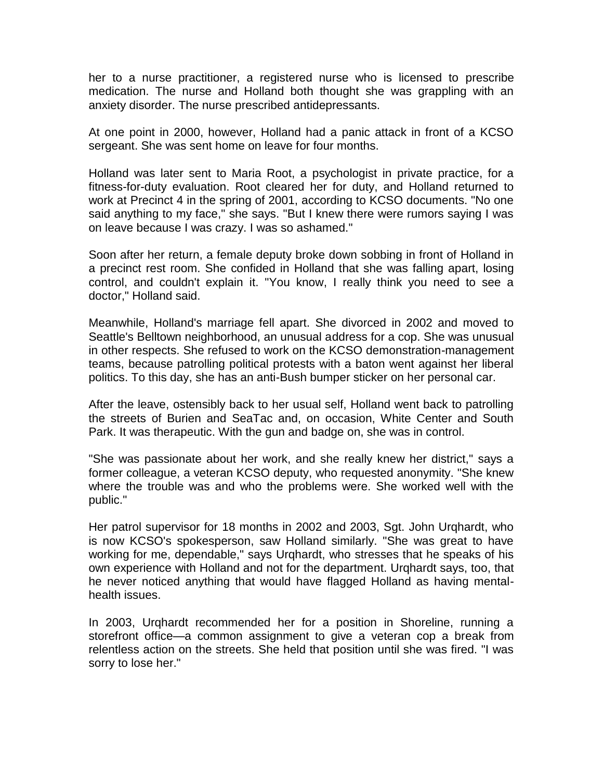her to a nurse practitioner, a registered nurse who is licensed to prescribe medication. The nurse and Holland both thought she was grappling with an anxiety disorder. The nurse prescribed antidepressants.

At one point in 2000, however, Holland had a panic attack in front of a KCSO sergeant. She was sent home on leave for four months.

Holland was later sent to Maria Root, a psychologist in private practice, for a fitness-for-duty evaluation. Root cleared her for duty, and Holland returned to work at Precinct 4 in the spring of 2001, according to KCSO documents. "No one said anything to my face," she says. "But I knew there were rumors saying I was on leave because I was crazy. I was so ashamed."

Soon after her return, a female deputy broke down sobbing in front of Holland in a precinct rest room. She confided in Holland that she was falling apart, losing control, and couldn't explain it. "You know, I really think you need to see a doctor," Holland said.

Meanwhile, Holland's marriage fell apart. She divorced in 2002 and moved to Seattle's Belltown neighborhood, an unusual address for a cop. She was unusual in other respects. She refused to work on the KCSO demonstration-management teams, because patrolling political protests with a baton went against her liberal politics. To this day, she has an anti-Bush bumper sticker on her personal car.

After the leave, ostensibly back to her usual self, Holland went back to patrolling the streets of Burien and SeaTac and, on occasion, White Center and South Park. It was therapeutic. With the gun and badge on, she was in control.

"She was passionate about her work, and she really knew her district," says a former colleague, a veteran KCSO deputy, who requested anonymity. "She knew where the trouble was and who the problems were. She worked well with the public."

Her patrol supervisor for 18 months in 2002 and 2003, Sgt. John Urqhardt, who is now KCSO's spokesperson, saw Holland similarly. "She was great to have working for me, dependable," says Urqhardt, who stresses that he speaks of his own experience with Holland and not for the department. Urqhardt says, too, that he never noticed anything that would have flagged Holland as having mentalhealth issues.

In 2003, Urqhardt recommended her for a position in Shoreline, running a storefront office—a common assignment to give a veteran cop a break from relentless action on the streets. She held that position until she was fired. "I was sorry to lose her."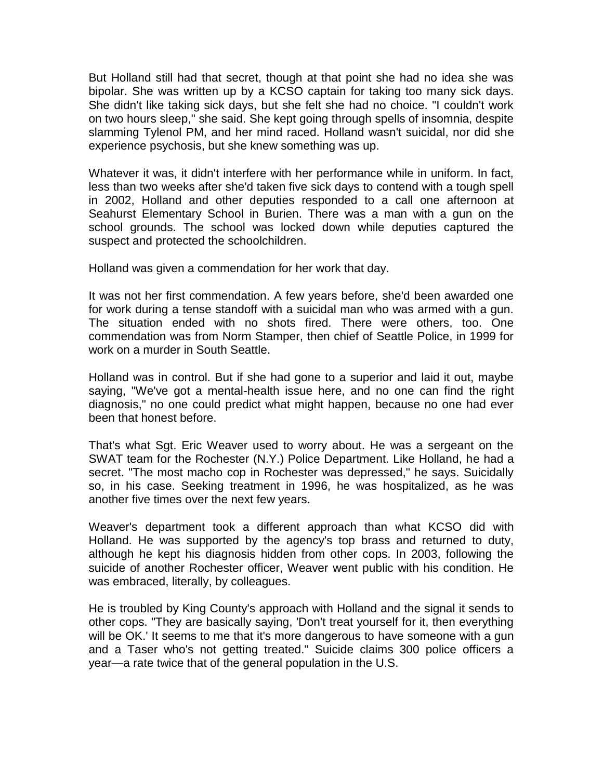But Holland still had that secret, though at that point she had no idea she was bipolar. She was written up by a KCSO captain for taking too many sick days. She didn't like taking sick days, but she felt she had no choice. "I couldn't work on two hours sleep," she said. She kept going through spells of insomnia, despite slamming Tylenol PM, and her mind raced. Holland wasn't suicidal, nor did she experience psychosis, but she knew something was up.

Whatever it was, it didn't interfere with her performance while in uniform. In fact, less than two weeks after she'd taken five sick days to contend with a tough spell in 2002, Holland and other deputies responded to a call one afternoon at Seahurst Elementary School in Burien. There was a man with a gun on the school grounds. The school was locked down while deputies captured the suspect and protected the schoolchildren.

Holland was given a commendation for her work that day.

It was not her first commendation. A few years before, she'd been awarded one for work during a tense standoff with a suicidal man who was armed with a gun. The situation ended with no shots fired. There were others, too. One commendation was from Norm Stamper, then chief of Seattle Police, in 1999 for work on a murder in South Seattle.

Holland was in control. But if she had gone to a superior and laid it out, maybe saying, "We've got a mental-health issue here, and no one can find the right diagnosis," no one could predict what might happen, because no one had ever been that honest before.

That's what Sgt. Eric Weaver used to worry about. He was a sergeant on the SWAT team for the Rochester (N.Y.) Police Department. Like Holland, he had a secret. "The most macho cop in Rochester was depressed," he says. Suicidally so, in his case. Seeking treatment in 1996, he was hospitalized, as he was another five times over the next few years.

Weaver's department took a different approach than what KCSO did with Holland. He was supported by the agency's top brass and returned to duty, although he kept his diagnosis hidden from other cops. In 2003, following the suicide of another Rochester officer, Weaver went public with his condition. He was embraced, literally, by colleagues.

He is troubled by King County's approach with Holland and the signal it sends to other cops. "They are basically saying, 'Don't treat yourself for it, then everything will be OK.' It seems to me that it's more dangerous to have someone with a gun and a Taser who's not getting treated." Suicide claims 300 police officers a year—a rate twice that of the general population in the U.S.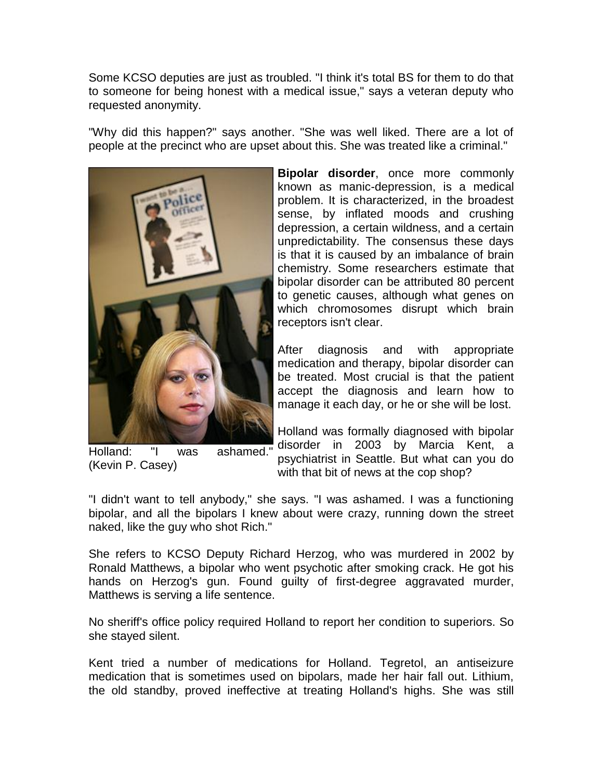Some KCSO deputies are just as troubled. "I think it's total BS for them to do that to someone for being honest with a medical issue," says a veteran deputy who requested anonymity.

"Why did this happen?" says another. "She was well liked. There are a lot of people at the precinct who are upset about this. She was treated like a criminal."



Holland: "I was ashamed." (Kevin P. Casey)

**Bipolar disorder**, once more commonly known as manic-depression, is a medical problem. It is characterized, in the broadest sense, by inflated moods and crushing depression, a certain wildness, and a certain unpredictability. The consensus these days is that it is caused by an imbalance of brain chemistry. Some researchers estimate that bipolar disorder can be attributed 80 percent to genetic causes, although what genes on which chromosomes disrupt which brain receptors isn't clear.

After diagnosis and with appropriate medication and therapy, bipolar disorder can be treated. Most crucial is that the patient accept the diagnosis and learn how to manage it each day, or he or she will be lost.

Holland was formally diagnosed with bipolar disorder in 2003 by Marcia Kent, a psychiatrist in Seattle. But what can you do with that bit of news at the cop shop?

"I didn't want to tell anybody," she says. "I was ashamed. I was a functioning bipolar, and all the bipolars I knew about were crazy, running down the street naked, like the guy who shot Rich."

She refers to KCSO Deputy Richard Herzog, who was murdered in 2002 by Ronald Matthews, a bipolar who went psychotic after smoking crack. He got his hands on Herzog's gun. Found guilty of first-degree aggravated murder, Matthews is serving a life sentence.

No sheriff's office policy required Holland to report her condition to superiors. So she stayed silent.

Kent tried a number of medications for Holland. Tegretol, an antiseizure medication that is sometimes used on bipolars, made her hair fall out. Lithium, the old standby, proved ineffective at treating Holland's highs. She was still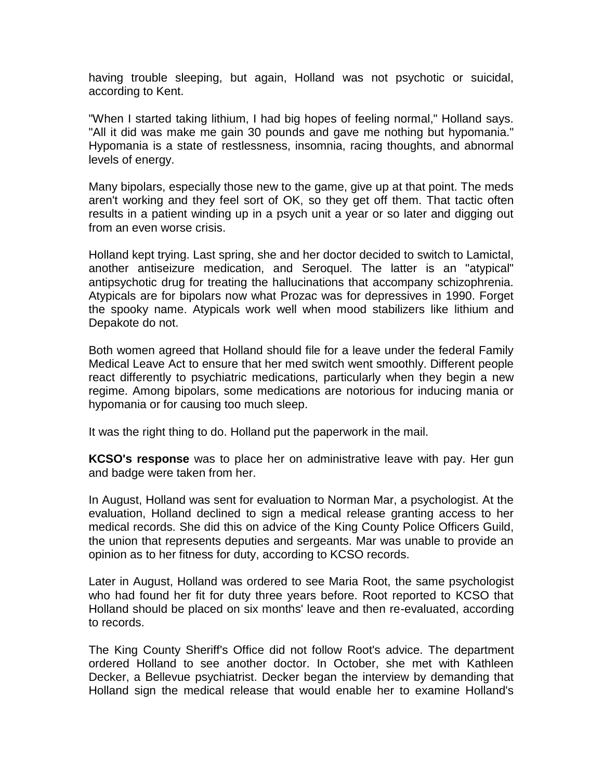having trouble sleeping, but again, Holland was not psychotic or suicidal, according to Kent.

"When I started taking lithium, I had big hopes of feeling normal," Holland says. "All it did was make me gain 30 pounds and gave me nothing but hypomania." Hypomania is a state of restlessness, insomnia, racing thoughts, and abnormal levels of energy.

Many bipolars, especially those new to the game, give up at that point. The meds aren't working and they feel sort of OK, so they get off them. That tactic often results in a patient winding up in a psych unit a year or so later and digging out from an even worse crisis.

Holland kept trying. Last spring, she and her doctor decided to switch to Lamictal, another antiseizure medication, and Seroquel. The latter is an "atypical" antipsychotic drug for treating the hallucinations that accompany schizophrenia. Atypicals are for bipolars now what Prozac was for depressives in 1990. Forget the spooky name. Atypicals work well when mood stabilizers like lithium and Depakote do not.

Both women agreed that Holland should file for a leave under the federal Family Medical Leave Act to ensure that her med switch went smoothly. Different people react differently to psychiatric medications, particularly when they begin a new regime. Among bipolars, some medications are notorious for inducing mania or hypomania or for causing too much sleep.

It was the right thing to do. Holland put the paperwork in the mail.

**KCSO's response** was to place her on administrative leave with pay. Her gun and badge were taken from her.

In August, Holland was sent for evaluation to Norman Mar, a psychologist. At the evaluation, Holland declined to sign a medical release granting access to her medical records. She did this on advice of the King County Police Officers Guild, the union that represents deputies and sergeants. Mar was unable to provide an opinion as to her fitness for duty, according to KCSO records.

Later in August, Holland was ordered to see Maria Root, the same psychologist who had found her fit for duty three years before. Root reported to KCSO that Holland should be placed on six months' leave and then re-evaluated, according to records.

The King County Sheriff's Office did not follow Root's advice. The department ordered Holland to see another doctor. In October, she met with Kathleen Decker, a Bellevue psychiatrist. Decker began the interview by demanding that Holland sign the medical release that would enable her to examine Holland's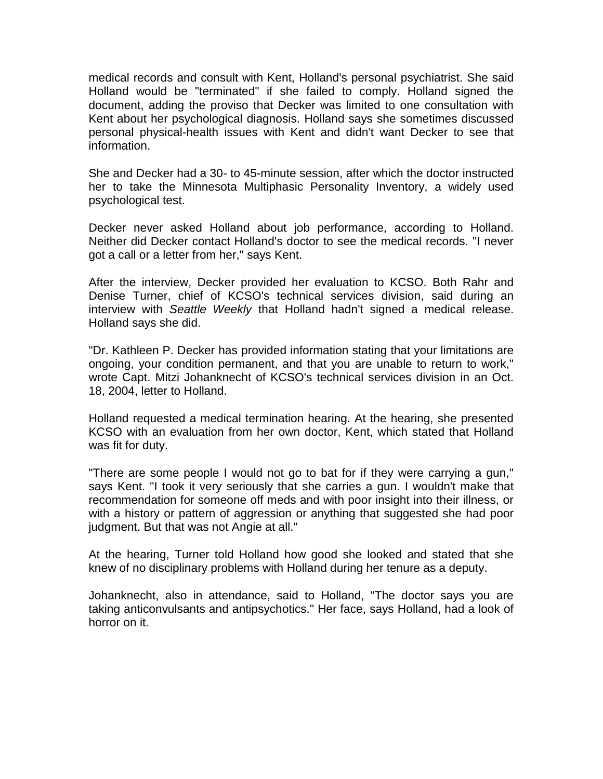medical records and consult with Kent, Holland's personal psychiatrist. She said Holland would be "terminated" if she failed to comply. Holland signed the document, adding the proviso that Decker was limited to one consultation with Kent about her psychological diagnosis. Holland says she sometimes discussed personal physical-health issues with Kent and didn't want Decker to see that information.

She and Decker had a 30- to 45-minute session, after which the doctor instructed her to take the Minnesota Multiphasic Personality Inventory, a widely used psychological test.

Decker never asked Holland about job performance, according to Holland. Neither did Decker contact Holland's doctor to see the medical records. "I never got a call or a letter from her," says Kent.

After the interview, Decker provided her evaluation to KCSO. Both Rahr and Denise Turner, chief of KCSO's technical services division, said during an interview with *Seattle Weekly* that Holland hadn't signed a medical release. Holland says she did.

"Dr. Kathleen P. Decker has provided information stating that your limitations are ongoing, your condition permanent, and that you are unable to return to work," wrote Capt. Mitzi Johanknecht of KCSO's technical services division in an Oct. 18, 2004, letter to Holland.

Holland requested a medical termination hearing. At the hearing, she presented KCSO with an evaluation from her own doctor, Kent, which stated that Holland was fit for duty.

"There are some people I would not go to bat for if they were carrying a gun," says Kent. "I took it very seriously that she carries a gun. I wouldn't make that recommendation for someone off meds and with poor insight into their illness, or with a history or pattern of aggression or anything that suggested she had poor judgment. But that was not Angie at all."

At the hearing, Turner told Holland how good she looked and stated that she knew of no disciplinary problems with Holland during her tenure as a deputy.

Johanknecht, also in attendance, said to Holland, "The doctor says you are taking anticonvulsants and antipsychotics." Her face, says Holland, had a look of horror on it.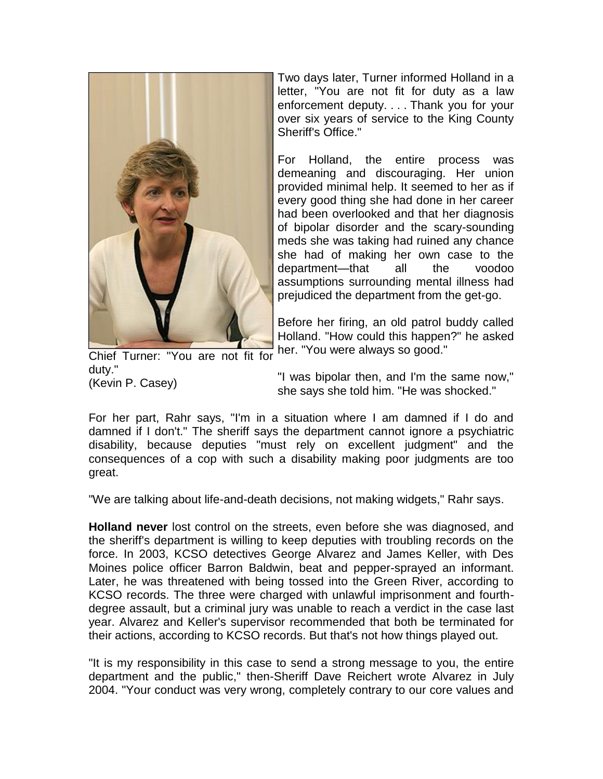

Two days later, Turner informed Holland in a letter, "You are not fit for duty as a law enforcement deputy. . . . Thank you for your over six years of service to the King County Sheriff's Office."

For Holland, the entire process was demeaning and discouraging. Her union provided minimal help. It seemed to her as if every good thing she had done in her career had been overlooked and that her diagnosis of bipolar disorder and the scary-sounding meds she was taking had ruined any chance she had of making her own case to the department—that all the voodoo assumptions surrounding mental illness had prejudiced the department from the get-go.

Before her firing, an old patrol buddy called Holland. "How could this happen?" he asked her. "You were always so good."

Chief Turner: "You are not fit for duty." (Kevin P. Casey)

"I was bipolar then, and I'm the same now," she says she told him. "He was shocked."

For her part, Rahr says, "I'm in a situation where I am damned if I do and damned if I don't." The sheriff says the department cannot ignore a psychiatric disability, because deputies "must rely on excellent judgment" and the consequences of a cop with such a disability making poor judgments are too great.

"We are talking about life-and-death decisions, not making widgets," Rahr says.

**Holland never** lost control on the streets, even before she was diagnosed, and the sheriff's department is willing to keep deputies with troubling records on the force. In 2003, KCSO detectives George Alvarez and James Keller, with Des Moines police officer Barron Baldwin, beat and pepper-sprayed an informant. Later, he was threatened with being tossed into the Green River, according to KCSO records. The three were charged with unlawful imprisonment and fourthdegree assault, but a criminal jury was unable to reach a verdict in the case last year. Alvarez and Keller's supervisor recommended that both be terminated for their actions, according to KCSO records. But that's not how things played out.

"It is my responsibility in this case to send a strong message to you, the entire department and the public," then-Sheriff Dave Reichert wrote Alvarez in July 2004. "Your conduct was very wrong, completely contrary to our core values and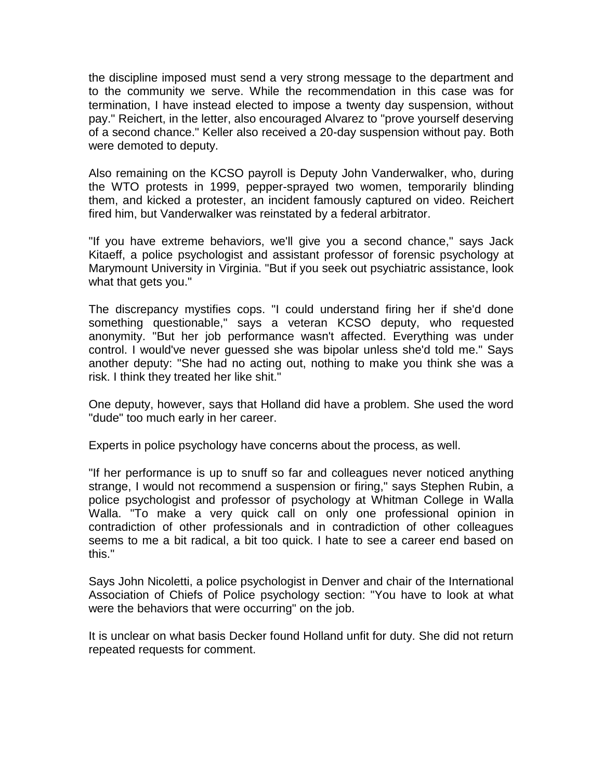the discipline imposed must send a very strong message to the department and to the community we serve. While the recommendation in this case was for termination, I have instead elected to impose a twenty day suspension, without pay." Reichert, in the letter, also encouraged Alvarez to "prove yourself deserving of a second chance." Keller also received a 20-day suspension without pay. Both were demoted to deputy.

Also remaining on the KCSO payroll is Deputy John Vanderwalker, who, during the WTO protests in 1999, pepper-sprayed two women, temporarily blinding them, and kicked a protester, an incident famously captured on video. Reichert fired him, but Vanderwalker was reinstated by a federal arbitrator.

"If you have extreme behaviors, we'll give you a second chance," says Jack Kitaeff, a police psychologist and assistant professor of forensic psychology at Marymount University in Virginia. "But if you seek out psychiatric assistance, look what that gets you."

The discrepancy mystifies cops. "I could understand firing her if she'd done something questionable," says a veteran KCSO deputy, who requested anonymity. "But her job performance wasn't affected. Everything was under control. I would've never guessed she was bipolar unless she'd told me." Says another deputy: "She had no acting out, nothing to make you think she was a risk. I think they treated her like shit."

One deputy, however, says that Holland did have a problem. She used the word "dude" too much early in her career.

Experts in police psychology have concerns about the process, as well.

"If her performance is up to snuff so far and colleagues never noticed anything strange, I would not recommend a suspension or firing," says Stephen Rubin, a police psychologist and professor of psychology at Whitman College in Walla Walla. "To make a very quick call on only one professional opinion in contradiction of other professionals and in contradiction of other colleagues seems to me a bit radical, a bit too quick. I hate to see a career end based on this."

Says John Nicoletti, a police psychologist in Denver and chair of the International Association of Chiefs of Police psychology section: "You have to look at what were the behaviors that were occurring" on the job.

It is unclear on what basis Decker found Holland unfit for duty. She did not return repeated requests for comment.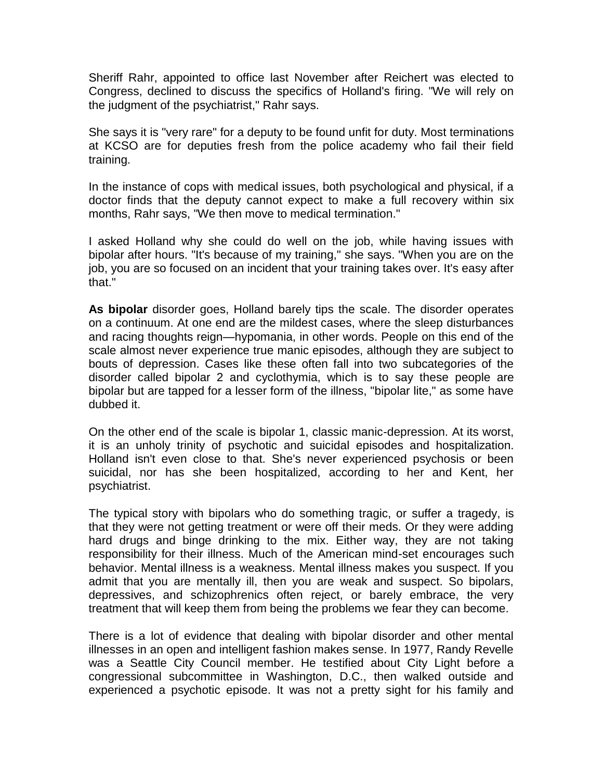Sheriff Rahr, appointed to office last November after Reichert was elected to Congress, declined to discuss the specifics of Holland's firing. "We will rely on the judgment of the psychiatrist," Rahr says.

She says it is "very rare" for a deputy to be found unfit for duty. Most terminations at KCSO are for deputies fresh from the police academy who fail their field training.

In the instance of cops with medical issues, both psychological and physical, if a doctor finds that the deputy cannot expect to make a full recovery within six months, Rahr says, "We then move to medical termination."

I asked Holland why she could do well on the job, while having issues with bipolar after hours. "It's because of my training," she says. "When you are on the job, you are so focused on an incident that your training takes over. It's easy after that."

**As bipolar** disorder goes, Holland barely tips the scale. The disorder operates on a continuum. At one end are the mildest cases, where the sleep disturbances and racing thoughts reign—hypomania, in other words. People on this end of the scale almost never experience true manic episodes, although they are subject to bouts of depression. Cases like these often fall into two subcategories of the disorder called bipolar 2 and cyclothymia, which is to say these people are bipolar but are tapped for a lesser form of the illness, "bipolar lite," as some have dubbed it.

On the other end of the scale is bipolar 1, classic manic-depression. At its worst, it is an unholy trinity of psychotic and suicidal episodes and hospitalization. Holland isn't even close to that. She's never experienced psychosis or been suicidal, nor has she been hospitalized, according to her and Kent, her psychiatrist.

The typical story with bipolars who do something tragic, or suffer a tragedy, is that they were not getting treatment or were off their meds. Or they were adding hard drugs and binge drinking to the mix. Either way, they are not taking responsibility for their illness. Much of the American mind-set encourages such behavior. Mental illness is a weakness. Mental illness makes you suspect. If you admit that you are mentally ill, then you are weak and suspect. So bipolars, depressives, and schizophrenics often reject, or barely embrace, the very treatment that will keep them from being the problems we fear they can become.

There is a lot of evidence that dealing with bipolar disorder and other mental illnesses in an open and intelligent fashion makes sense. In 1977, Randy Revelle was a Seattle City Council member. He testified about City Light before a congressional subcommittee in Washington, D.C., then walked outside and experienced a psychotic episode. It was not a pretty sight for his family and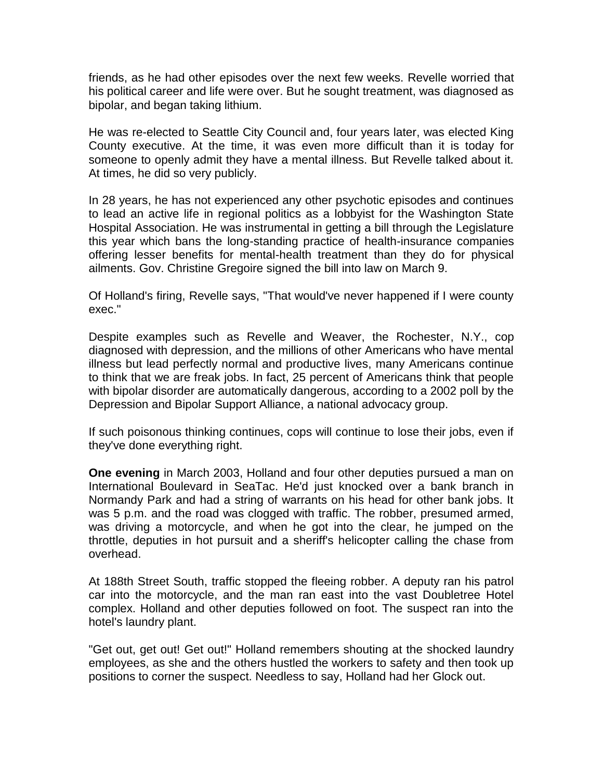friends, as he had other episodes over the next few weeks. Revelle worried that his political career and life were over. But he sought treatment, was diagnosed as bipolar, and began taking lithium.

He was re-elected to Seattle City Council and, four years later, was elected King County executive. At the time, it was even more difficult than it is today for someone to openly admit they have a mental illness. But Revelle talked about it. At times, he did so very publicly.

In 28 years, he has not experienced any other psychotic episodes and continues to lead an active life in regional politics as a lobbyist for the Washington State Hospital Association. He was instrumental in getting a bill through the Legislature this year which bans the long-standing practice of health-insurance companies offering lesser benefits for mental-health treatment than they do for physical ailments. Gov. Christine Gregoire signed the bill into law on March 9.

Of Holland's firing, Revelle says, "That would've never happened if I were county exec."

Despite examples such as Revelle and Weaver, the Rochester, N.Y., cop diagnosed with depression, and the millions of other Americans who have mental illness but lead perfectly normal and productive lives, many Americans continue to think that we are freak jobs. In fact, 25 percent of Americans think that people with bipolar disorder are automatically dangerous, according to a 2002 poll by the Depression and Bipolar Support Alliance, a national advocacy group.

If such poisonous thinking continues, cops will continue to lose their jobs, even if they've done everything right.

**One evening** in March 2003, Holland and four other deputies pursued a man on International Boulevard in SeaTac. He'd just knocked over a bank branch in Normandy Park and had a string of warrants on his head for other bank jobs. It was 5 p.m. and the road was clogged with traffic. The robber, presumed armed, was driving a motorcycle, and when he got into the clear, he jumped on the throttle, deputies in hot pursuit and a sheriff's helicopter calling the chase from overhead.

At 188th Street South, traffic stopped the fleeing robber. A deputy ran his patrol car into the motorcycle, and the man ran east into the vast Doubletree Hotel complex. Holland and other deputies followed on foot. The suspect ran into the hotel's laundry plant.

"Get out, get out! Get out!" Holland remembers shouting at the shocked laundry employees, as she and the others hustled the workers to safety and then took up positions to corner the suspect. Needless to say, Holland had her Glock out.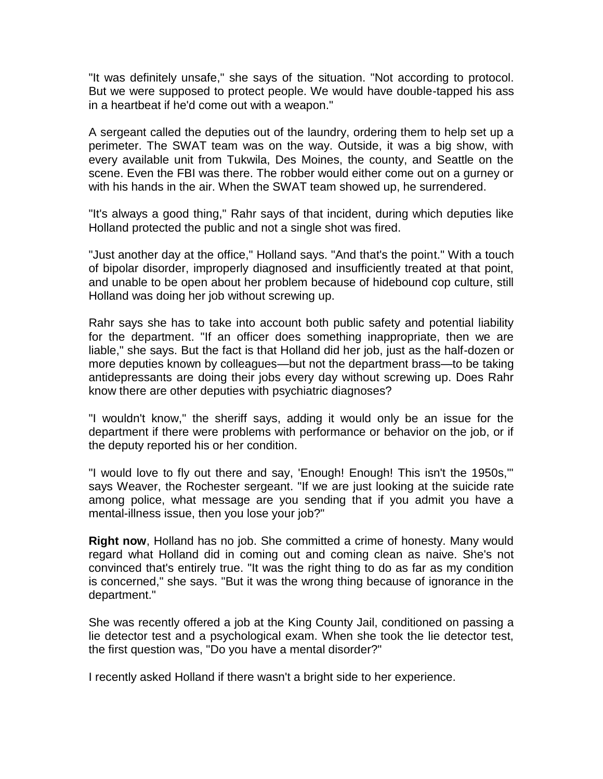"It was definitely unsafe," she says of the situation. "Not according to protocol. But we were supposed to protect people. We would have double-tapped his ass in a heartbeat if he'd come out with a weapon."

A sergeant called the deputies out of the laundry, ordering them to help set up a perimeter. The SWAT team was on the way. Outside, it was a big show, with every available unit from Tukwila, Des Moines, the county, and Seattle on the scene. Even the FBI was there. The robber would either come out on a gurney or with his hands in the air. When the SWAT team showed up, he surrendered.

"It's always a good thing," Rahr says of that incident, during which deputies like Holland protected the public and not a single shot was fired.

"Just another day at the office," Holland says. "And that's the point." With a touch of bipolar disorder, improperly diagnosed and insufficiently treated at that point, and unable to be open about her problem because of hidebound cop culture, still Holland was doing her job without screwing up.

Rahr says she has to take into account both public safety and potential liability for the department. "If an officer does something inappropriate, then we are liable," she says. But the fact is that Holland did her job, just as the half-dozen or more deputies known by colleagues—but not the department brass—to be taking antidepressants are doing their jobs every day without screwing up. Does Rahr know there are other deputies with psychiatric diagnoses?

"I wouldn't know," the sheriff says, adding it would only be an issue for the department if there were problems with performance or behavior on the job, or if the deputy reported his or her condition.

"I would love to fly out there and say, 'Enough! Enough! This isn't the 1950s,'" says Weaver, the Rochester sergeant. "If we are just looking at the suicide rate among police, what message are you sending that if you admit you have a mental-illness issue, then you lose your job?"

**Right now**, Holland has no job. She committed a crime of honesty. Many would regard what Holland did in coming out and coming clean as naive. She's not convinced that's entirely true. "It was the right thing to do as far as my condition is concerned," she says. "But it was the wrong thing because of ignorance in the department."

She was recently offered a job at the King County Jail, conditioned on passing a lie detector test and a psychological exam. When she took the lie detector test, the first question was, "Do you have a mental disorder?"

I recently asked Holland if there wasn't a bright side to her experience.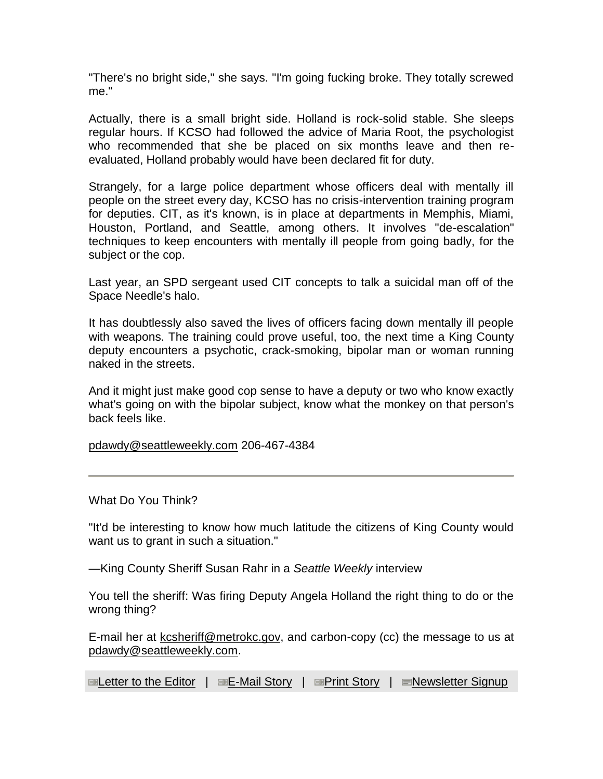"There's no bright side," she says. "I'm going fucking broke. They totally screwed me."

Actually, there is a small bright side. Holland is rock-solid stable. She sleeps regular hours. If KCSO had followed the advice of Maria Root, the psychologist who recommended that she be placed on six months leave and then reevaluated, Holland probably would have been declared fit for duty.

Strangely, for a large police department whose officers deal with mentally ill people on the street every day, KCSO has no crisis-intervention training program for deputies. CIT, as it's known, is in place at departments in Memphis, Miami, Houston, Portland, and Seattle, among others. It involves "de-escalation" techniques to keep encounters with mentally ill people from going badly, for the subject or the cop.

Last year, an SPD sergeant used CIT concepts to talk a suicidal man off of the Space Needle's halo.

It has doubtlessly also saved the lives of officers facing down mentally ill people with weapons. The training could prove useful, too, the next time a King County deputy encounters a psychotic, crack-smoking, bipolar man or woman running naked in the streets.

And it might just make good cop sense to have a deputy or two who know exactly what's going on with the bipolar subject, know what the monkey on that person's back feels like.

[pdawdy@seattleweekly.com](mailto:pdawdy@seattleweekly.com) 206-467-4384

What Do You Think?

"It'd be interesting to know how much latitude the citizens of King County would want us to grant in such a situation."

—King County Sheriff Susan Rahr in a *Seattle Weekly* interview

You tell the sheriff: Was firing Deputy Angela Holland the right thing to do or the wrong thing?

E-mail her at kesheriff@metrokc.gov, and carbon-copy (cc) the message to us at [pdawdy@seattleweekly.com.](mailto:pdawdy@seattleweekly.com)

**ED[Letter to the Editor](mailto:letters@seattleweekly.com) | ED[E-Mail Story](http://www.seattleweekly.com/features/sendmail.php3?eid=62567) | ED[Print Story](http://www.seattleweekly.com/features/printme.php3?eid=62567) | E[Newsletter Signup](javascript:;)**